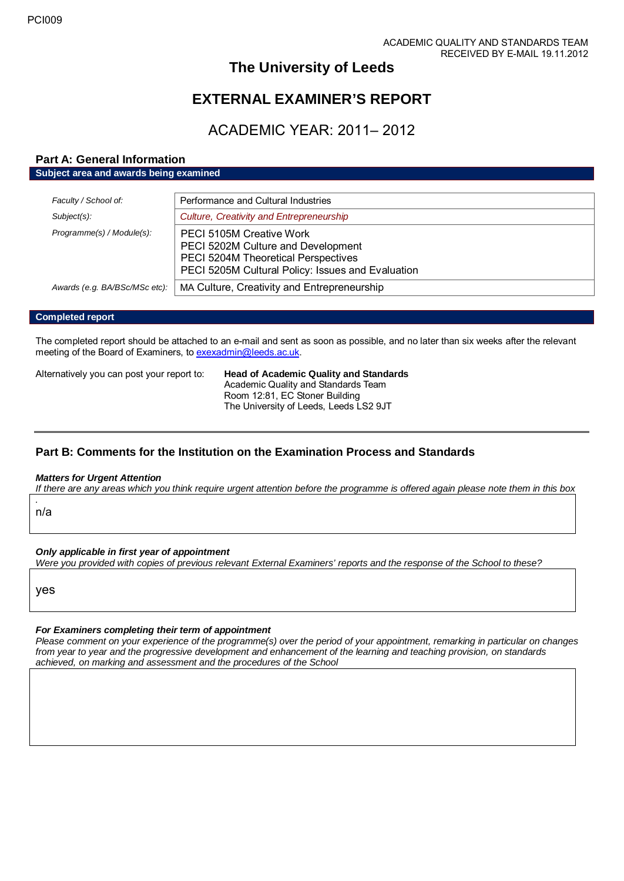# **The University of Leeds**

# **EXTERNAL EXAMINER'S REPORT**

# ACADEMIC YEAR: 2011– 2012

# **Part A: General Information**

**Subject area and awards being examined**

| Faculty / School of:          | Performance and Cultural Industries                                                                                                                        |
|-------------------------------|------------------------------------------------------------------------------------------------------------------------------------------------------------|
| $Subject(s)$ :                | Culture, Creativity and Entrepreneurship                                                                                                                   |
| Programme(s) / Module(s):     | PECI 5105M Creative Work<br>PECI 5202M Culture and Development<br>PECI 5204M Theoretical Perspectives<br>PECI 5205M Cultural Policy: Issues and Evaluation |
| Awards (e.g. BA/BSc/MSc etc): | MA Culture, Creativity and Entrepreneurship                                                                                                                |

## **Completed report**

The completed report should be attached to an e-mail and sent as soon as possible, and no later than six weeks after the relevant meeting of the Board of Examiners, t[o exexadmin@leeds.ac.uk.](mailto:exexadmin@leeds.ac.uk)

Alternatively you can post your report to: **Head of Academic Quality and Standards**

Academic Quality and Standards Team Room 12:81, EC Stoner Building The University of Leeds, Leeds LS2 9JT

# **Part B: Comments for the Institution on the Examination Process and Standards**

#### *Matters for Urgent Attention*

*If there are any areas which you think require urgent attention before the programme is offered again please note them in this box*

*.* n/a

*Only applicable in first year of appointment*

*Were you provided with copies of previous relevant External Examiners' reports and the response of the School to these?* 

yes

## *For Examiners completing their term of appointment*

*Please comment on your experience of the programme(s) over the period of your appointment, remarking in particular on changes from year to year and the progressive development and enhancement of the learning and teaching provision, on standards achieved, on marking and assessment and the procedures of the School*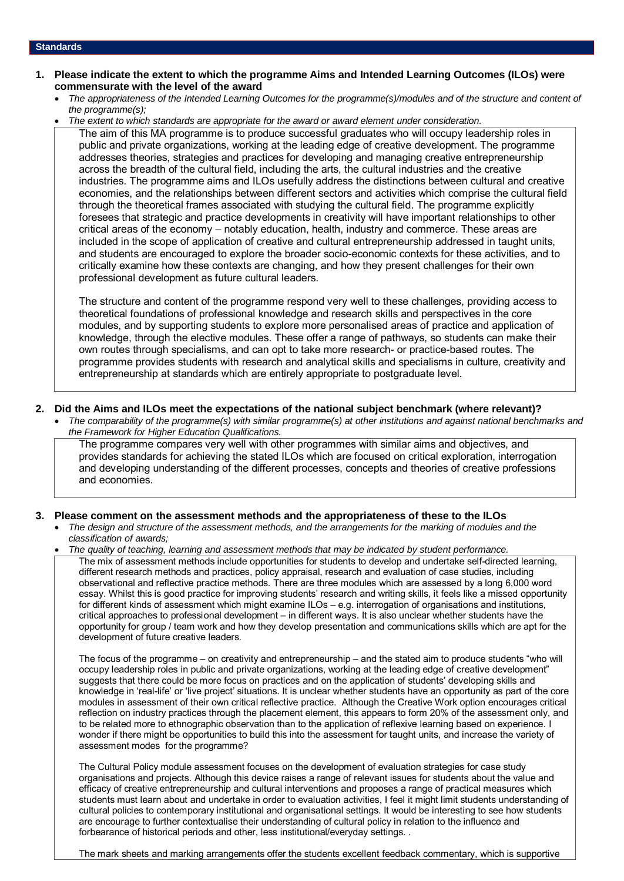#### **Standards**

- **1. Please indicate the extent to which the programme Aims and Intended Learning Outcomes (ILOs) were commensurate with the level of the award**
	- *The appropriateness of the Intended Learning Outcomes for the programme(s)/modules and of the structure and content of the programme(s);*
	- *The extent to which standards are appropriate for the award or award element under consideration.*

The aim of this MA programme is to produce successful graduates who will occupy leadership roles in public and private organizations, working at the leading edge of creative development. The programme addresses theories, strategies and practices for developing and managing creative entrepreneurship across the breadth of the cultural field, including the arts, the cultural industries and the creative industries. The programme aims and ILOs usefully address the distinctions between cultural and creative economies, and the relationships between different sectors and activities which comprise the cultural field through the theoretical frames associated with studying the cultural field. The programme explicitly foresees that strategic and practice developments in creativity will have important relationships to other critical areas of the economy – notably education, health, industry and commerce. These areas are included in the scope of application of creative and cultural entrepreneurship addressed in taught units, and students are encouraged to explore the broader socio-economic contexts for these activities, and to critically examine how these contexts are changing, and how they present challenges for their own professional development as future cultural leaders.

The structure and content of the programme respond very well to these challenges, providing access to theoretical foundations of professional knowledge and research skills and perspectives in the core modules, and by supporting students to explore more personalised areas of practice and application of knowledge, through the elective modules. These offer a range of pathways, so students can make their own routes through specialisms, and can opt to take more research- or practice-based routes. The programme provides students with research and analytical skills and specialisms in culture, creativity and entrepreneurship at standards which are entirely appropriate to postgraduate level.

- **2. Did the Aims and ILOs meet the expectations of the national subject benchmark (where relevant)?**
	- *The comparability of the programme(s) with similar programme(s) at other institutions and against national benchmarks and the Framework for Higher Education Qualifications.*

The programme compares very well with other programmes with similar aims and objectives, and provides standards for achieving the stated ILOs which are focused on critical exploration, interrogation and developing understanding of the different processes, concepts and theories of creative professions and economies.

#### **3. Please comment on the assessment methods and the appropriateness of these to the ILOs**

• *The design and structure of the assessment methods, and the arrangements for the marking of modules and the classification of awards;* 

• *The quality of teaching, learning and assessment methods that may be indicated by student performance.*

The mix of assessment methods include opportunities for students to develop and undertake self-directed learning, different research methods and practices, policy appraisal, research and evaluation of case studies, including observational and reflective practice methods. There are three modules which are assessed by a long 6,000 word essay. Whilst this is good practice for improving students' research and writing skills, it feels like a missed opportunity for different kinds of assessment which might examine ILOs – e.g. interrogation of organisations and institutions, critical approaches to professional development – in different ways. It is also unclear whether students have the opportunity for group / team work and how they develop presentation and communications skills which are apt for the development of future creative leaders.

The focus of the programme – on creativity and entrepreneurship – and the stated aim to produce students "who will occupy leadership roles in public and private organizations, working at the leading edge of creative development" suggests that there could be more focus on practices and on the application of students' developing skills and knowledge in 'real-life' or 'live project' situations. It is unclear whether students have an opportunity as part of the core modules in assessment of their own critical reflective practice. Although the Creative Work option encourages critical reflection on industry practices through the placement element, this appears to form 20% of the assessment only, and to be related more to ethnographic observation than to the application of reflexive learning based on experience. I wonder if there might be opportunities to build this into the assessment for taught units, and increase the variety of assessment modes for the programme?

The Cultural Policy module assessment focuses on the development of evaluation strategies for case study organisations and projects. Although this device raises a range of relevant issues for students about the value and efficacy of creative entrepreneurship and cultural interventions and proposes a range of practical measures which students must learn about and undertake in order to evaluation activities, I feel it might limit students understanding of cultural policies to contemporary institutional and organisational settings. It would be interesting to see how students are encourage to further contextualise their understanding of cultural policy in relation to the influence and forbearance of historical periods and other, less institutional/everyday settings. .

The mark sheets and marking arrangements offer the students excellent feedback commentary, which is supportive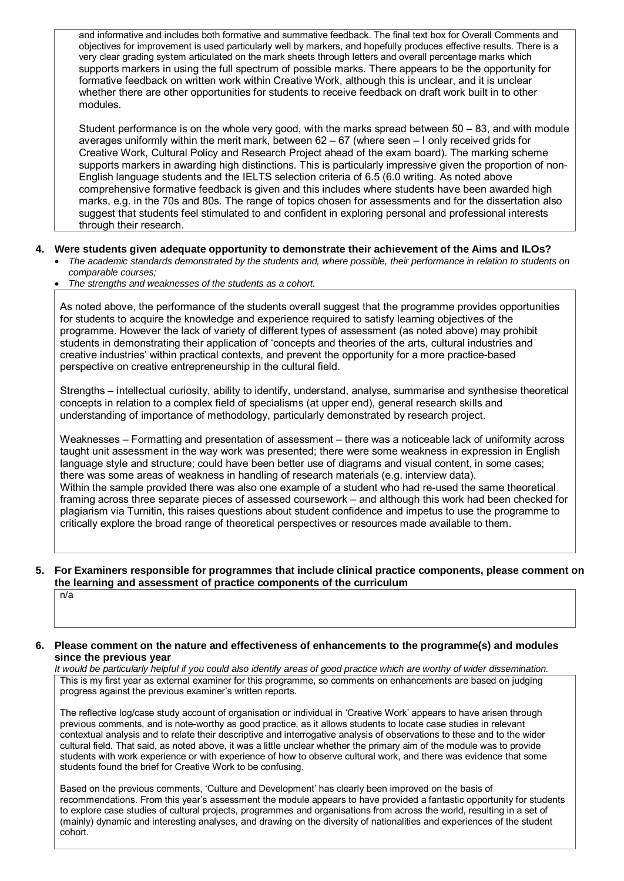and informative and includes both formative and summative feedback. The final text box for Overall Comments and objectives for improvement is used particularly well by markers, and hopefully produces effective results. There is a very clear grading system articulated on the mark sheets through letters and overall percentage marks which supports markers in using the full spectrum of possible marks. There appears to be the opportunity for formative feedback on written work within Creative Work, although this is unclear, and it is unclear whether there are other opportunities for students to receive feedback on draft work built in to other modules.

Student performance is on the whole very good, with the marks spread between 50 – 83, and with module averages uniformly within the merit mark, between 62 – 67 (where seen – I only received grids for Creative Work, Cultural Policy and Research Project ahead of the exam board). The marking scheme supports markers in awarding high distinctions. This is particularly impressive given the proportion of non-English language students and the IELTS selection criteria of 6.5 (6.0 writing. As noted above comprehensive formative feedback is given and this includes where students have been awarded high marks, e.g. in the 70s and 80s. The range of topics chosen for assessments and for the dissertation also suggest that students feel stimulated to and confident in exploring personal and professional interests through their research.

## **4. Were students given adequate opportunity to demonstrate their achievement of the Aims and ILOs?**

- *The academic standards demonstrated by the students and, where possible, their performance in relation to students on comparable courses;*
- *The strengths and weaknesses of the students as a cohort.*

As noted above, the performance of the students overall suggest that the programme provides opportunities for students to acquire the knowledge and experience required to satisfy learning objectives of the programme. However the lack of variety of different types of assessment (as noted above) may prohibit students in demonstrating their application of 'concepts and theories of the arts, cultural industries and creative industries' within practical contexts, and prevent the opportunity for a more practice-based perspective on creative entrepreneurship in the cultural field.

Strengths – intellectual curiosity, ability to identify, understand, analyse, summarise and synthesise theoretical concepts in relation to a complex field of specialisms (at upper end), general research skills and understanding of importance of methodology, particularly demonstrated by research project.

Weaknesses – Formatting and presentation of assessment – there was a noticeable lack of uniformity across taught unit assessment in the way work was presented; there were some weakness in expression in English language style and structure; could have been better use of diagrams and visual content, in some cases; there was some areas of weakness in handling of research materials (e.g. interview data). Within the sample provided there was also one example of a student who had re-used the same theoretical framing across three separate pieces of assessed coursework – and although this work had been checked for plagiarism via Turnitin, this raises questions about student confidence and impetus to use the programme to critically explore the broad range of theoretical perspectives or resources made available to them.

## **5. For Examiners responsible for programmes that include clinical practice components, please comment on the learning and assessment of practice components of the curriculum**

 $n/a$ 

## **6. Please comment on the nature and effectiveness of enhancements to the programme(s) and modules since the previous year**

*It would be particularly helpful if you could also identify areas of good practice which are worthy of wider dissemination.*  This is my first year as external examiner for this programme, so comments on enhancements are based on judging progress against the previous examiner's written reports.

The reflective log/case study account of organisation or individual in 'Creative Work' appears to have arisen through previous comments, and is note-worthy as good practice, as it allows students to locate case studies in relevant contextual analysis and to relate their descriptive and interrogative analysis of observations to these and to the wider cultural field. That said, as noted above, it was a little unclear whether the primary aim of the module was to provide students with work experience or with experience of how to observe cultural work, and there was evidence that some students found the brief for Creative Work to be confusing.

Based on the previous comments, 'Culture and Development' has clearly been improved on the basis of recommendations. From this year's assessment the module appears to have provided a fantastic opportunity for students to explore case studies of cultural projects, programmes and organisations from across the world, resulting in a set of (mainly) dynamic and interesting analyses, and drawing on the diversity of nationalities and experiences of the student cohort.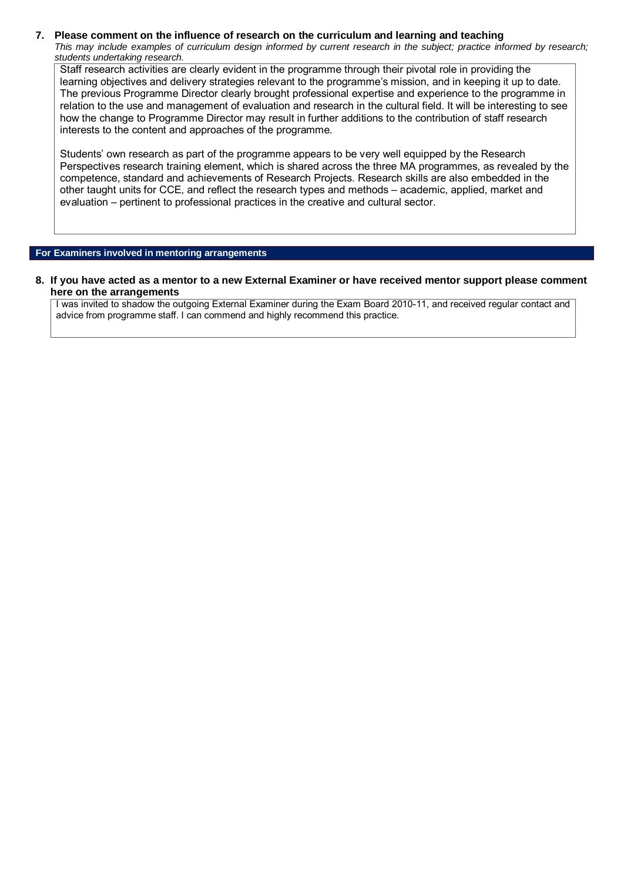## **7. Please comment on the influence of research on the curriculum and learning and teaching**

*This may include examples of curriculum design informed by current research in the subject; practice informed by research; students undertaking research.* 

Staff research activities are clearly evident in the programme through their pivotal role in providing the learning objectives and delivery strategies relevant to the programme's mission, and in keeping it up to date. The previous Programme Director clearly brought professional expertise and experience to the programme in relation to the use and management of evaluation and research in the cultural field. It will be interesting to see how the change to Programme Director may result in further additions to the contribution of staff research interests to the content and approaches of the programme.

Students' own research as part of the programme appears to be very well equipped by the Research Perspectives research training element, which is shared across the three MA programmes, as revealed by the competence, standard and achievements of Research Projects. Research skills are also embedded in the other taught units for CCE, and reflect the research types and methods – academic, applied, market and evaluation – pertinent to professional practices in the creative and cultural sector.

## **For Examiners involved in mentoring arrangements**

**8. If you have acted as a mentor to a new External Examiner or have received mentor support please comment here on the arrangements**

I was invited to shadow the outgoing External Examiner during the Exam Board 2010-11, and received regular contact and advice from programme staff. I can commend and highly recommend this practice.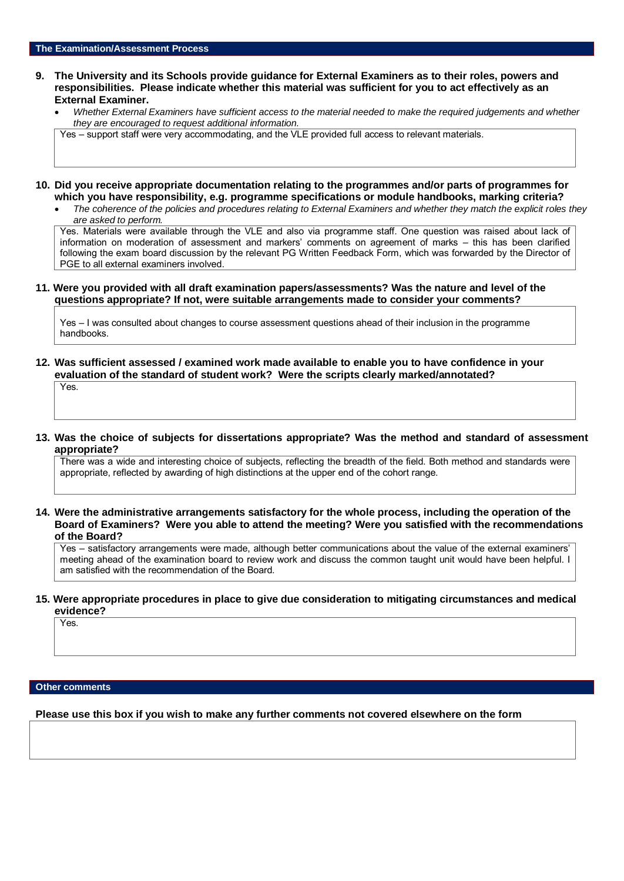### **9. The University and its Schools provide guidance for External Examiners as to their roles, powers and responsibilities. Please indicate whether this material was sufficient for you to act effectively as an External Examiner.**

• *Whether External Examiners have sufficient access to the material needed to make the required judgements and whether they are encouraged to request additional information.*

Yes – support staff were very accommodating, and the VLE provided full access to relevant materials.

- **10. Did you receive appropriate documentation relating to the programmes and/or parts of programmes for which you have responsibility, e.g. programme specifications or module handbooks, marking criteria?**
	- *The coherence of the policies and procedures relating to External Examiners and whether they match the explicit roles they are asked to perform.*

Yes. Materials were available through the VLE and also via programme staff. One question was raised about lack of information on moderation of assessment and markers' comments on agreement of marks – this has been clarified following the exam board discussion by the relevant PG Written Feedback Form, which was forwarded by the Director of PGE to all external examiners involved.

## **11. Were you provided with all draft examination papers/assessments? Was the nature and level of the questions appropriate? If not, were suitable arrangements made to consider your comments?**

Yes – I was consulted about changes to course assessment questions ahead of their inclusion in the programme handbooks.

**12. Was sufficient assessed / examined work made available to enable you to have confidence in your evaluation of the standard of student work? Were the scripts clearly marked/annotated?** 

Yes.

## **13. Was the choice of subjects for dissertations appropriate? Was the method and standard of assessment appropriate?**

There was a wide and interesting choice of subjects, reflecting the breadth of the field. Both method and standards were appropriate, reflected by awarding of high distinctions at the upper end of the cohort range.

**14. Were the administrative arrangements satisfactory for the whole process, including the operation of the Board of Examiners? Were you able to attend the meeting? Were you satisfied with the recommendations of the Board?**

Yes – satisfactory arrangements were made, although better communications about the value of the external examiners' meeting ahead of the examination board to review work and discuss the common taught unit would have been helpful. I am satisfied with the recommendation of the Board.

#### **15. Were appropriate procedures in place to give due consideration to mitigating circumstances and medical evidence?**

Yes.

### **Other comments**

**Please use this box if you wish to make any further comments not covered elsewhere on the form**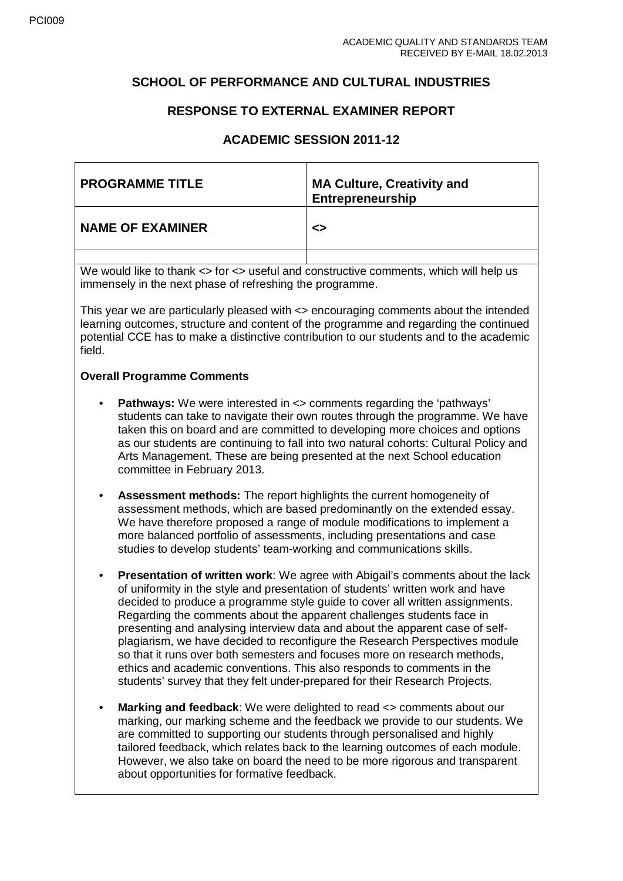# **SCHOOL OF PERFORMANCE AND CULTURAL INDUSTRIES**

# **RESPONSE TO EXTERNAL EXAMINER REPORT**

# **ACADEMIC SESSION 2011-12**

| <b>PROGRAMME TITLE</b>  | <b>MA Culture, Creativity and</b><br>Entrepreneurship |
|-------------------------|-------------------------------------------------------|
| <b>NAME OF EXAMINER</b> | ≺>                                                    |
|                         |                                                       |

We would like to thank  $\lt$  for  $\lt$  useful and constructive comments, which will help us immensely in the next phase of refreshing the programme.

This year we are particularly pleased with <> encouraging comments about the intended learning outcomes, structure and content of the programme and regarding the continued potential CCE has to make a distinctive contribution to our students and to the academic field.

## **Overall Programme Comments**

- **Pathways:** We were interested in <> comments regarding the 'pathways' students can take to navigate their own routes through the programme. We have taken this on board and are committed to developing more choices and options as our students are continuing to fall into two natural cohorts: Cultural Policy and Arts Management. These are being presented at the next School education committee in February 2013.
- **Assessment methods:** The report highlights the current homogeneity of assessment methods, which are based predominantly on the extended essay. We have therefore proposed a range of module modifications to implement a more balanced portfolio of assessments, including presentations and case studies to develop students' team-working and communications skills.
- **Presentation of written work**: We agree with Abigail's comments about the lack of uniformity in the style and presentation of students' written work and have decided to produce a programme style guide to cover all written assignments. Regarding the comments about the apparent challenges students face in presenting and analysing interview data and about the apparent case of selfplagiarism, we have decided to reconfigure the Research Perspectives module so that it runs over both semesters and focuses more on research methods, ethics and academic conventions. This also responds to comments in the students' survey that they felt under-prepared for their Research Projects.
- **Marking and feedback**: We were delighted to read <> comments about our marking, our marking scheme and the feedback we provide to our students. We are committed to supporting our students through personalised and highly tailored feedback, which relates back to the learning outcomes of each module. However, we also take on board the need to be more rigorous and transparent about opportunities for formative feedback.